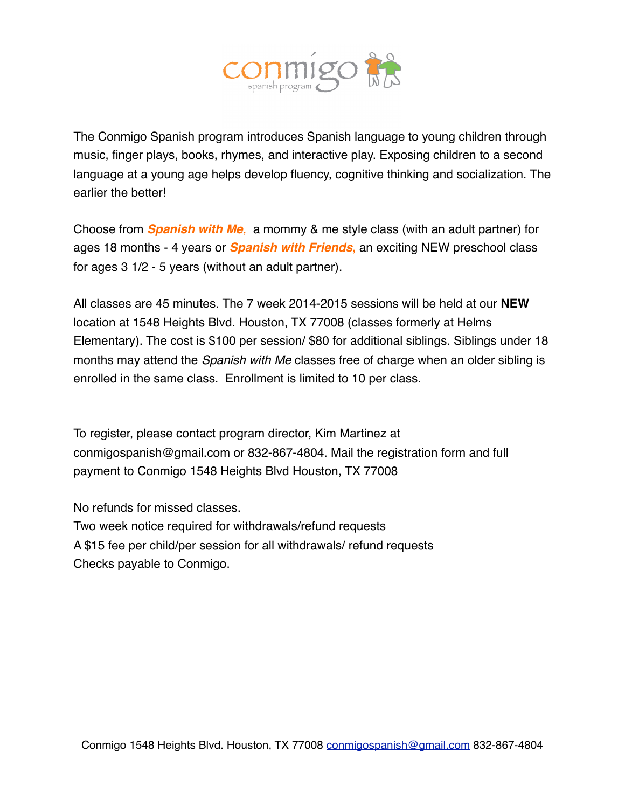

The Conmigo Spanish program introduces Spanish language to young children through music, finger plays, books, rhymes, and interactive play. Exposing children to a second language at a young age helps develop fluency, cognitive thinking and socialization. The earlier the better!

Choose from *Spanish with Me,* a mommy & me style class (with an adult partner) for ages 18 months - 4 years or *Spanish with Friends***,** an exciting NEW preschool class for ages 3 1/2 - 5 years (without an adult partner).

All classes are 45 minutes. The 7 week 2014-2015 sessions will be held at our **NEW**  location at 1548 Heights Blvd. Houston, TX 77008 (classes formerly at Helms Elementary). The cost is \$100 per session/ \$80 for additional siblings. Siblings under 18 months may attend the *Spanish with Me* classes free of charge when an older sibling is enrolled in the same class. Enrollment is limited to 10 per class.

To register, please contact program director, Kim Martinez at [conmigospanish@gmail.com](mailto:kmartinez2@hotmail.com) or 832-867-4804. Mail the registration form and full payment to Conmigo 1548 Heights Blvd Houston, TX 77008

No refunds for missed classes. Two week notice required for withdrawals/refund requests A \$15 fee per child/per session for all withdrawals/ refund requests Checks payable to Conmigo.